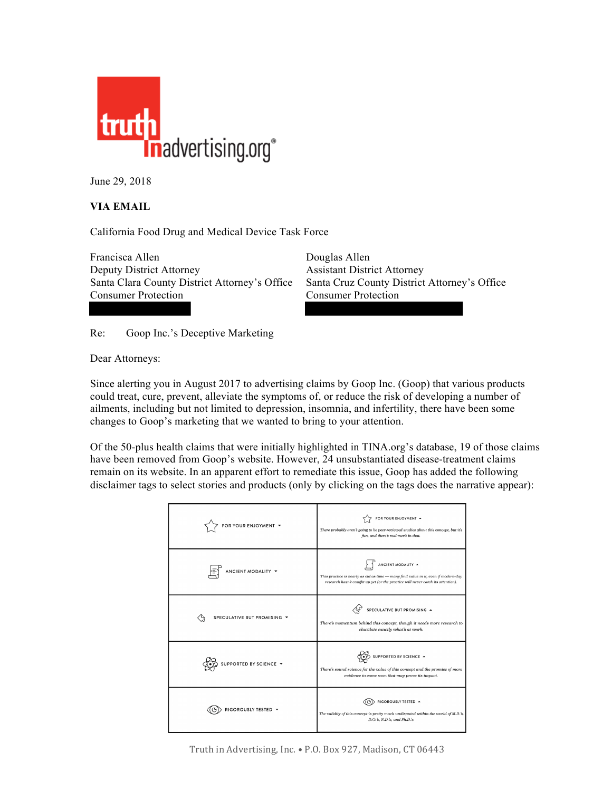

June 29, 2018

## **VIA EMAIL**

California Food Drug and Medical Device Task Force

Francisca Allen Douglas Allen Deputy District Attorney Assistant District Attorney Santa Clara County District Attorney's Office Santa Cruz County District Attorney's Office Consumer Protection Consumer Protection

Re: Goop Inc.'s Deceptive Marketing

Dear Attorneys:

Since alerting you in August 2017 to advertising claims by Goop Inc. (Goop) that various products could treat, cure, prevent, alleviate the symptoms of, or reduce the risk of developing a number of ailments, including but not limited to depression, insomnia, and infertility, there have been some changes to Goop's marketing that we wanted to bring to your attention.

Of the 50-plus health claims that were initially highlighted in TINA.org's database, 19 of those claims have been removed from Goop's website. However, 24 unsubstantiated disease-treatment claims remain on its website. In an apparent effort to remediate this issue, Goop has added the following disclaimer tags to select stories and products (only by clicking on the tags does the narrative appear):

| FOR YOUR ENJOYMENT Y        | FOR YOUR ENJOYMENT A<br>There probably aren't going to be peer-reviewed studies about this concept, but it's<br>fun, and there's real merit in that.                                        |
|-----------------------------|---------------------------------------------------------------------------------------------------------------------------------------------------------------------------------------------|
| ANCIENT MODALITY -          | ANCIENT MODALITY A<br>This practice is nearly as old as time - many find value in it, even if modern-day<br>research hasn't caught up yet (or the practice will never catch its attention). |
| SPECULATIVE BUT PROMISING V | SPECULATIVE BUT PROMISING A<br>There's momentum behind this concept, though it needs more research to<br>elucidate exactly what's at work.                                                  |
| SUPPORTED BY SCIENCE ▼      | SUPPORTED BY SCIENCE A<br>There's sound science for the value of this concept and the promise of more<br>evidence to come soon that may prove its impact.                                   |
| RIGOROUSLY TESTED +         | RIGOROUSLY TESTED A<br>The validity of this concept is pretty much undisputed within the world of M.D.'s,<br>D.O.'s, N.D.'s, and Ph.D.'s.                                                   |